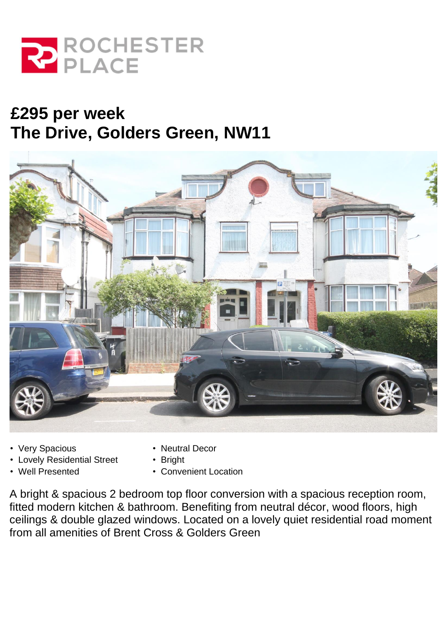

## **£295 per week The Drive, Golders Green, NW11**



- 
- Lovely Residential Street Bright
- 
- Very Spacious Neutral Decor
	-
- Well Presented Convenient Location

A bright & spacious 2 bedroom top floor conversion with a spacious reception room, fitted modern kitchen & bathroom. Benefiting from neutral décor, wood floors, high ceilings & double glazed windows. Located on a lovely quiet residential road moment from all amenities of Brent Cross & Golders Green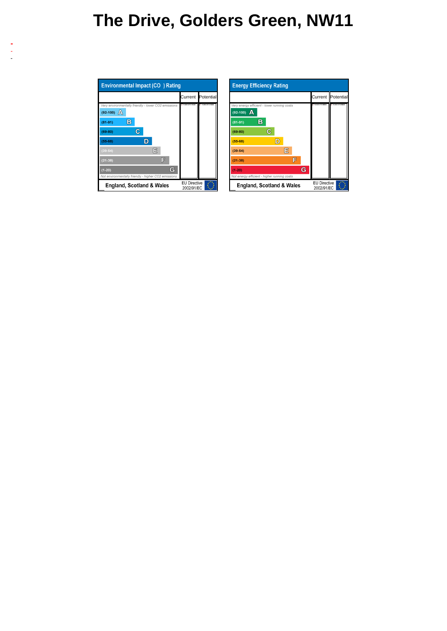## **The Drive, Golders Green, NW11**

| Environmental Impact (CO) Rating                    |   |    |   |                                   |                              |
|-----------------------------------------------------|---|----|---|-----------------------------------|------------------------------|
|                                                     |   |    |   |                                   | Current Potential            |
| Very environmentally friendly - lower CO2 emissions |   |    |   | . The statues can't be dealered   | To the sales sect in degrees |
| $(92-100)$ $\sqrt{2}$                               |   |    |   |                                   |                              |
| $(81-91)$                                           | В |    |   |                                   |                              |
| $(69-80)$                                           | C |    |   |                                   |                              |
| $(55-68)$                                           |   | D) |   |                                   |                              |
| $(39-54)$                                           |   | 屓  |   |                                   |                              |
| $(21-38)$                                           |   |    | F |                                   |                              |
| $(1-20)$                                            |   |    | G |                                   |                              |
| Not environmentally friendly - higher CO2 emissions |   |    |   |                                   |                              |
| <b>England, Scotland &amp; Wales</b>                |   |    |   | <b>EU Directive</b><br>2002/91/EC |                              |

**-** *-* -

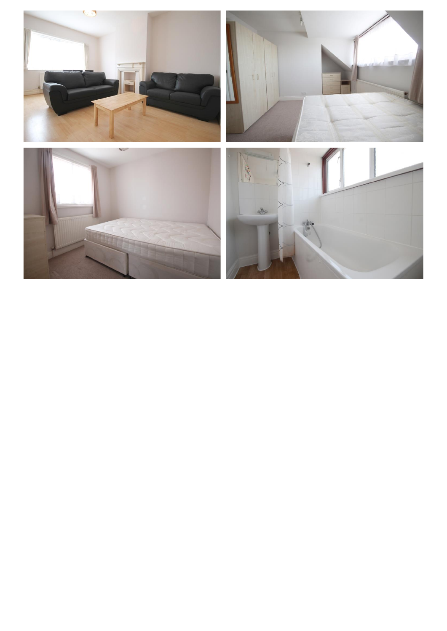